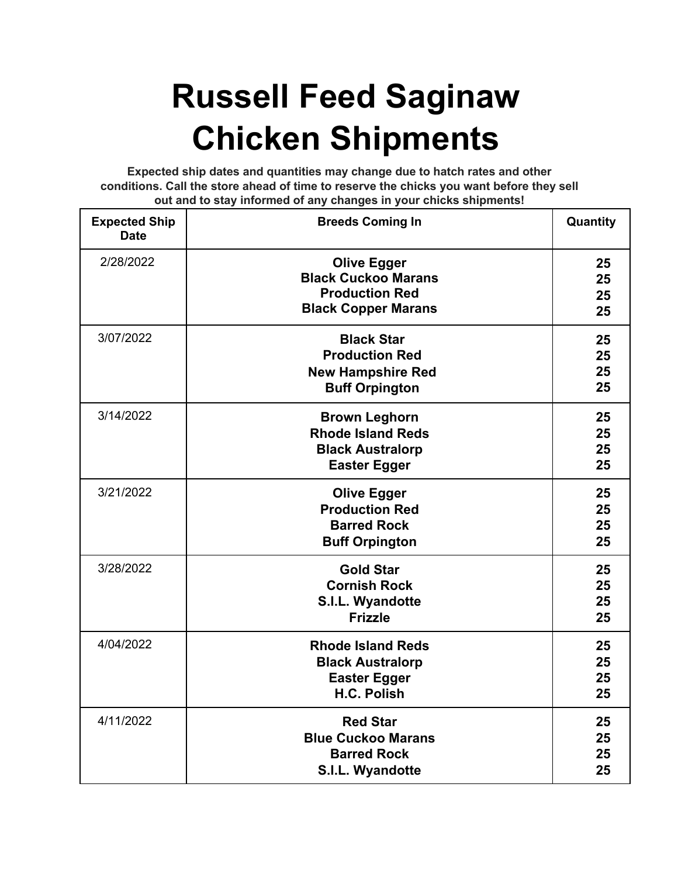## **Russell Feed Saginaw Chicken Shipments**

**Expected ship dates and quantities may change due to hatch rates and other conditions. Call the store ahead of time to reserve the chicks you want before they sell out and to stay informed of any changes in your chicks shipments!**

| <b>Expected Ship</b><br><b>Date</b> | <b>Breeds Coming In</b>                                                                                 | Quantity             |
|-------------------------------------|---------------------------------------------------------------------------------------------------------|----------------------|
| 2/28/2022                           | <b>Olive Egger</b><br><b>Black Cuckoo Marans</b><br><b>Production Red</b><br><b>Black Copper Marans</b> | 25<br>25<br>25<br>25 |
| 3/07/2022                           | <b>Black Star</b><br><b>Production Red</b><br><b>New Hampshire Red</b><br><b>Buff Orpington</b>         | 25<br>25<br>25<br>25 |
| 3/14/2022                           | <b>Brown Leghorn</b><br><b>Rhode Island Reds</b><br><b>Black Australorp</b><br><b>Easter Egger</b>      | 25<br>25<br>25<br>25 |
| 3/21/2022                           | <b>Olive Egger</b><br><b>Production Red</b><br><b>Barred Rock</b><br><b>Buff Orpington</b>              | 25<br>25<br>25<br>25 |
| 3/28/2022                           | <b>Gold Star</b><br><b>Cornish Rock</b><br>S.I.L. Wyandotte<br><b>Frizzle</b>                           | 25<br>25<br>25<br>25 |
| 4/04/2022                           | <b>Rhode Island Reds</b><br><b>Black Australorp</b><br><b>Easter Egger</b><br>H.C. Polish               | 25<br>25<br>25<br>25 |
| 4/11/2022                           | <b>Red Star</b><br><b>Blue Cuckoo Marans</b><br><b>Barred Rock</b><br>S.I.L. Wyandotte                  | 25<br>25<br>25<br>25 |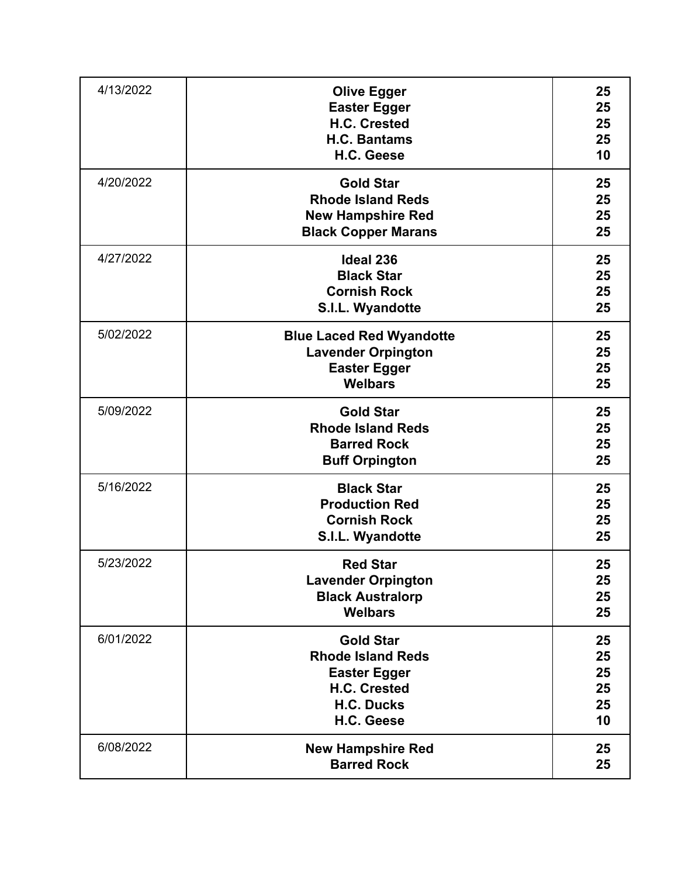| 4/13/2022 | <b>Olive Egger</b><br><b>Easter Egger</b><br>H.C. Crested<br>H.C. Bantams<br>H.C. Geese                                | 25<br>25<br>25<br>25<br>10       |
|-----------|------------------------------------------------------------------------------------------------------------------------|----------------------------------|
| 4/20/2022 | <b>Gold Star</b><br><b>Rhode Island Reds</b><br><b>New Hampshire Red</b><br><b>Black Copper Marans</b>                 | 25<br>25<br>25<br>25             |
| 4/27/2022 | <b>Ideal 236</b><br><b>Black Star</b><br><b>Cornish Rock</b><br>S.I.L. Wyandotte                                       | 25<br>25<br>25<br>25             |
| 5/02/2022 | <b>Blue Laced Red Wyandotte</b><br><b>Lavender Orpington</b><br><b>Easter Egger</b><br><b>Welbars</b>                  | 25<br>25<br>25<br>25             |
| 5/09/2022 | <b>Gold Star</b><br><b>Rhode Island Reds</b><br><b>Barred Rock</b><br><b>Buff Orpington</b>                            | 25<br>25<br>25<br>25             |
| 5/16/2022 | <b>Black Star</b><br><b>Production Red</b><br><b>Cornish Rock</b><br>S.I.L. Wyandotte                                  | 25<br>25<br>25<br>25             |
| 5/23/2022 | <b>Red Star</b><br><b>Lavender Orpington</b><br><b>Black Australorp</b><br><b>Welbars</b>                              | 25<br>25<br>25<br>25             |
| 6/01/2022 | <b>Gold Star</b><br><b>Rhode Island Reds</b><br><b>Easter Egger</b><br>H.C. Crested<br><b>H.C. Ducks</b><br>H.C. Geese | 25<br>25<br>25<br>25<br>25<br>10 |
| 6/08/2022 | <b>New Hampshire Red</b><br><b>Barred Rock</b>                                                                         | 25<br>25                         |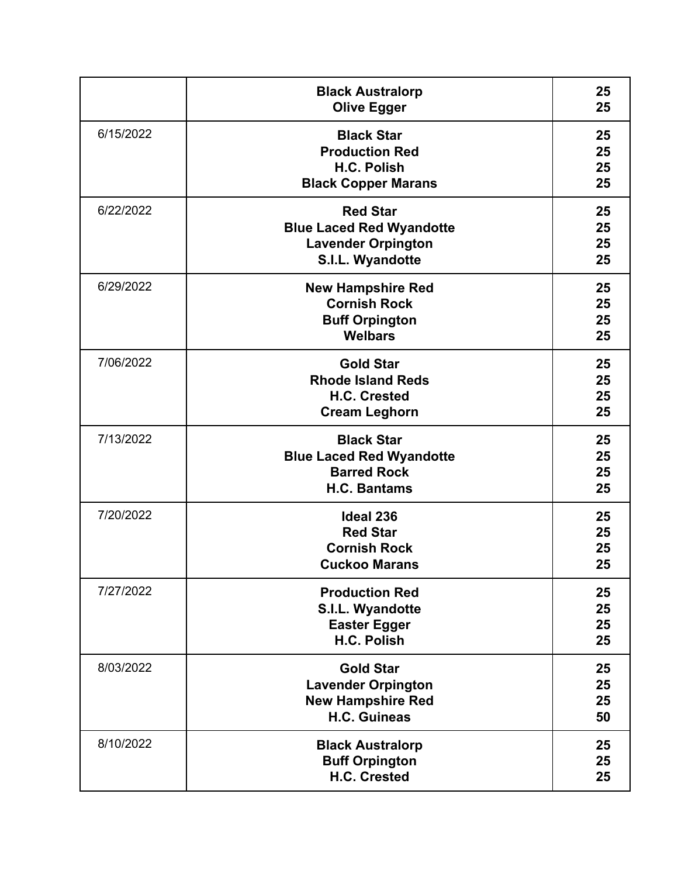|           | <b>Black Australorp</b><br><b>Olive Egger</b>                                                       | 25<br>25             |
|-----------|-----------------------------------------------------------------------------------------------------|----------------------|
| 6/15/2022 | <b>Black Star</b><br><b>Production Red</b><br>H.C. Polish<br><b>Black Copper Marans</b>             | 25<br>25<br>25<br>25 |
| 6/22/2022 | <b>Red Star</b><br><b>Blue Laced Red Wyandotte</b><br><b>Lavender Orpington</b><br>S.I.L. Wyandotte | 25<br>25<br>25<br>25 |
| 6/29/2022 | <b>New Hampshire Red</b><br><b>Cornish Rock</b><br><b>Buff Orpington</b><br><b>Welbars</b>          | 25<br>25<br>25<br>25 |
| 7/06/2022 | <b>Gold Star</b><br><b>Rhode Island Reds</b><br>H.C. Crested<br><b>Cream Leghorn</b>                | 25<br>25<br>25<br>25 |
| 7/13/2022 | <b>Black Star</b><br><b>Blue Laced Red Wyandotte</b><br><b>Barred Rock</b><br><b>H.C. Bantams</b>   | 25<br>25<br>25<br>25 |
| 7/20/2022 | <b>Ideal 236</b><br><b>Red Star</b><br><b>Cornish Rock</b><br><b>Cuckoo Marans</b>                  | 25<br>25<br>25<br>25 |
| 7/27/2022 | <b>Production Red</b><br>S.I.L. Wyandotte<br><b>Easter Egger</b><br>H.C. Polish                     | 25<br>25<br>25<br>25 |
| 8/03/2022 | <b>Gold Star</b><br><b>Lavender Orpington</b><br><b>New Hampshire Red</b><br><b>H.C. Guineas</b>    | 25<br>25<br>25<br>50 |
| 8/10/2022 | <b>Black Australorp</b><br><b>Buff Orpington</b><br>H.C. Crested                                    | 25<br>25<br>25       |